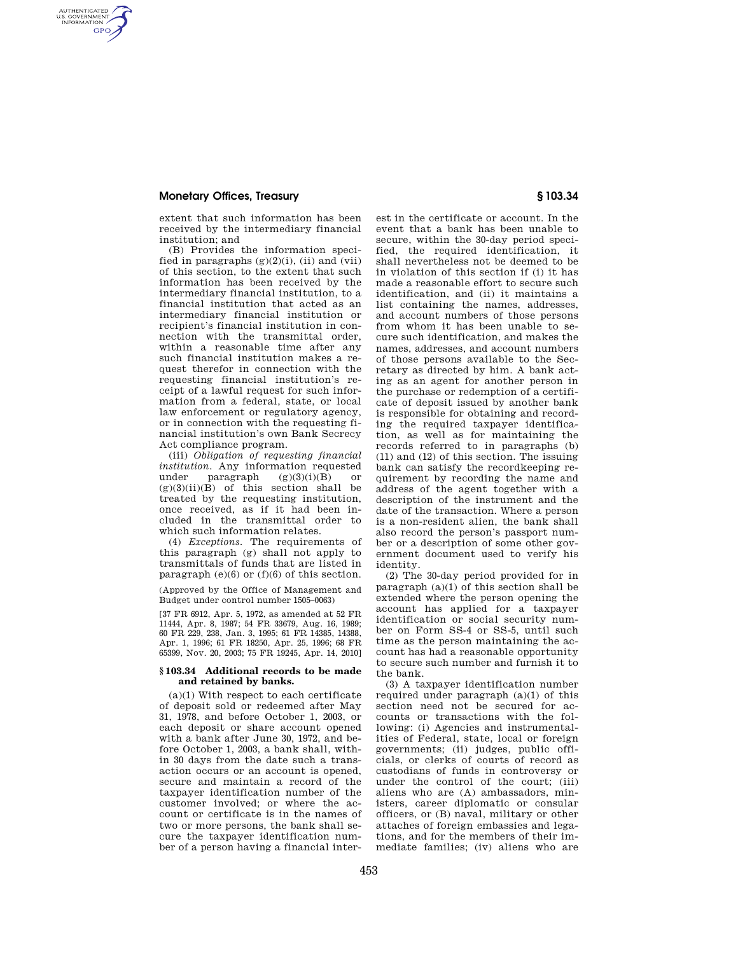## **Monetary Offices, Treasury § 103.34**

AUTHENTICATED<br>U.S. GOVERNMENT<br>INFORMATION **GPO** 

> extent that such information has been received by the intermediary financial institution; and

(B) Provides the information specified in paragraphs  $(g)(2)(i)$ , (ii) and (vii) of this section, to the extent that such information has been received by the intermediary financial institution, to a financial institution that acted as an intermediary financial institution or recipient's financial institution in connection with the transmittal order, within a reasonable time after any such financial institution makes a request therefor in connection with the requesting financial institution's receipt of a lawful request for such information from a federal, state, or local law enforcement or regulatory agency, or in connection with the requesting financial institution's own Bank Secrecy Act compliance program.

(iii) *Obligation of requesting financial institution.* Any information requested under paragraph  $(g)(3)(i)(B)$  or  $(g)(3)(ii)(B)$  of this section shall be treated by the requesting institution, once received, as if it had been included in the transmittal order to which such information relates.

(4) *Exceptions.* The requirements of this paragraph (g) shall not apply to transmittals of funds that are listed in paragraph  $(e)(6)$  or  $(f)(6)$  of this section.

(Approved by the Office of Management and Budget under control number 1505–0063)

[37 FR 6912, Apr. 5, 1972, as amended at 52 FR 11444, Apr. 8, 1987; 54 FR 33679, Aug. 16, 1989; 60 FR 229, 238, Jan. 3, 1995; 61 FR 14385, 14388, Apr. 1, 1996; 61 FR 18250, Apr. 25, 1996; 68 FR 65399, Nov. 20, 2003; 75 FR 19245, Apr. 14, 2010]

## **§ 103.34 Additional records to be made and retained by banks.**

(a)(1) With respect to each certificate of deposit sold or redeemed after May 31, 1978, and before October 1, 2003, or each deposit or share account opened with a bank after June 30, 1972, and before October 1, 2003, a bank shall, within 30 days from the date such a transaction occurs or an account is opened, secure and maintain a record of the taxpayer identification number of the customer involved; or where the account or certificate is in the names of two or more persons, the bank shall secure the taxpayer identification number of a person having a financial inter-

est in the certificate or account. In the event that a bank has been unable to secure, within the 30-day period specified, the required identification, it shall nevertheless not be deemed to be in violation of this section if (i) it has made a reasonable effort to secure such identification, and (ii) it maintains a list containing the names, addresses, and account numbers of those persons from whom it has been unable to secure such identification, and makes the names, addresses, and account numbers of those persons available to the Secretary as directed by him. A bank acting as an agent for another person in the purchase or redemption of a certificate of deposit issued by another bank is responsible for obtaining and recording the required taxpayer identification, as well as for maintaining the records referred to in paragraphs (b) (11) and (12) of this section. The issuing bank can satisfy the recordkeeping requirement by recording the name and address of the agent together with a description of the instrument and the date of the transaction. Where a person is a non-resident alien, the bank shall also record the person's passport number or a description of some other government document used to verify his identity.

(2) The 30-day period provided for in paragraph  $(a)(1)$  of this section shall be extended where the person opening the account has applied for a taxpayer identification or social security number on Form SS-4 or SS-5, until such time as the person maintaining the account has had a reasonable opportunity to secure such number and furnish it to the bank.

(3) A taxpayer identification number required under paragraph (a)(1) of this section need not be secured for accounts or transactions with the following: (i) Agencies and instrumentalities of Federal, state, local or foreign governments; (ii) judges, public officials, or clerks of courts of record as custodians of funds in controversy or under the control of the court; (iii) aliens who are (A) ambassadors, ministers, career diplomatic or consular officers, or (B) naval, military or other attaches of foreign embassies and legations, and for the members of their immediate families; (iv) aliens who are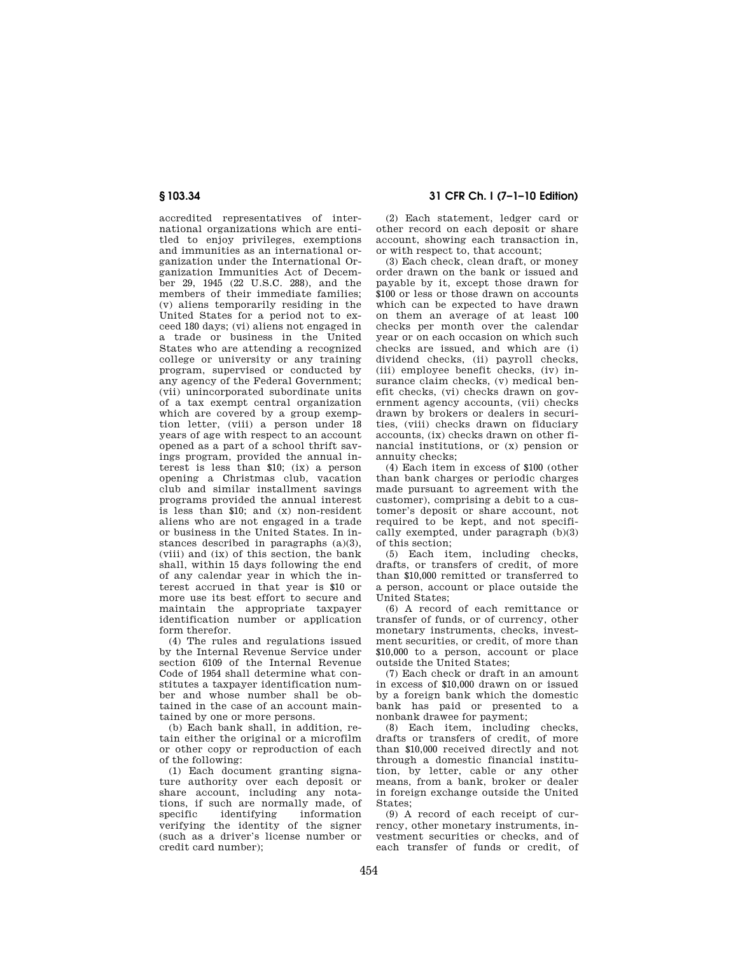accredited representatives of international organizations which are entitled to enjoy privileges, exemptions and immunities as an international organization under the International Organization Immunities Act of December 29, 1945 (22 U.S.C. 288), and the members of their immediate families; (v) aliens temporarily residing in the United States for a period not to exceed 180 days; (vi) aliens not engaged in a trade or business in the United States who are attending a recognized college or university or any training program, supervised or conducted by any agency of the Federal Government; (vii) unincorporated subordinate units of a tax exempt central organization which are covered by a group exemption letter, (viii) a person under 18 years of age with respect to an account opened as a part of a school thrift savings program, provided the annual interest is less than \$10; (ix) a person opening a Christmas club, vacation club and similar installment savings programs provided the annual interest is less than \$10; and (x) non-resident aliens who are not engaged in a trade or business in the United States. In instances described in paragraphs (a)(3), (viii) and (ix) of this section, the bank shall, within 15 days following the end of any calendar year in which the interest accrued in that year is \$10 or more use its best effort to secure and maintain the appropriate taxpayer identification number or application form therefor.

(4) The rules and regulations issued by the Internal Revenue Service under section 6109 of the Internal Revenue Code of 1954 shall determine what constitutes a taxpayer identification number and whose number shall be obtained in the case of an account maintained by one or more persons.

(b) Each bank shall, in addition, retain either the original or a microfilm or other copy or reproduction of each of the following:

(1) Each document granting signature authority over each deposit or share account, including any notations, if such are normally made, of<br>specific identifying information information verifying the identity of the signer (such as a driver's license number or credit card number);

**§ 103.34 31 CFR Ch. I (7–1–10 Edition)** 

(2) Each statement, ledger card or other record on each deposit or share account, showing each transaction in, or with respect to, that account;

(3) Each check, clean draft, or money order drawn on the bank or issued and payable by it, except those drawn for \$100 or less or those drawn on accounts which can be expected to have drawn on them an average of at least 100 checks per month over the calendar year or on each occasion on which such checks are issued, and which are (i) dividend checks, (ii) payroll checks, (iii) employee benefit checks, (iv) insurance claim checks, (v) medical benefit checks, (vi) checks drawn on government agency accounts, (vii) checks drawn by brokers or dealers in securities, (viii) checks drawn on fiduciary accounts, (ix) checks drawn on other financial institutions, or (x) pension or annuity checks;

(4) Each item in excess of \$100 (other than bank charges or periodic charges made pursuant to agreement with the customer), comprising a debit to a customer's deposit or share account, not required to be kept, and not specifically exempted, under paragraph (b)(3) of this section;

(5) Each item, including checks, drafts, or transfers of credit, of more than \$10,000 remitted or transferred to a person, account or place outside the United States;

(6) A record of each remittance or transfer of funds, or of currency, other monetary instruments, checks, investment securities, or credit, of more than \$10,000 to a person, account or place outside the United States;

(7) Each check or draft in an amount in excess of \$10,000 drawn on or issued by a foreign bank which the domestic bank has paid or presented to a nonbank drawee for payment;

(8) Each item, including checks, drafts or transfers of credit, of more than \$10,000 received directly and not through a domestic financial institution, by letter, cable or any other means, from a bank, broker or dealer in foreign exchange outside the United States;

(9) A record of each receipt of currency, other monetary instruments, investment securities or checks, and of each transfer of funds or credit, of